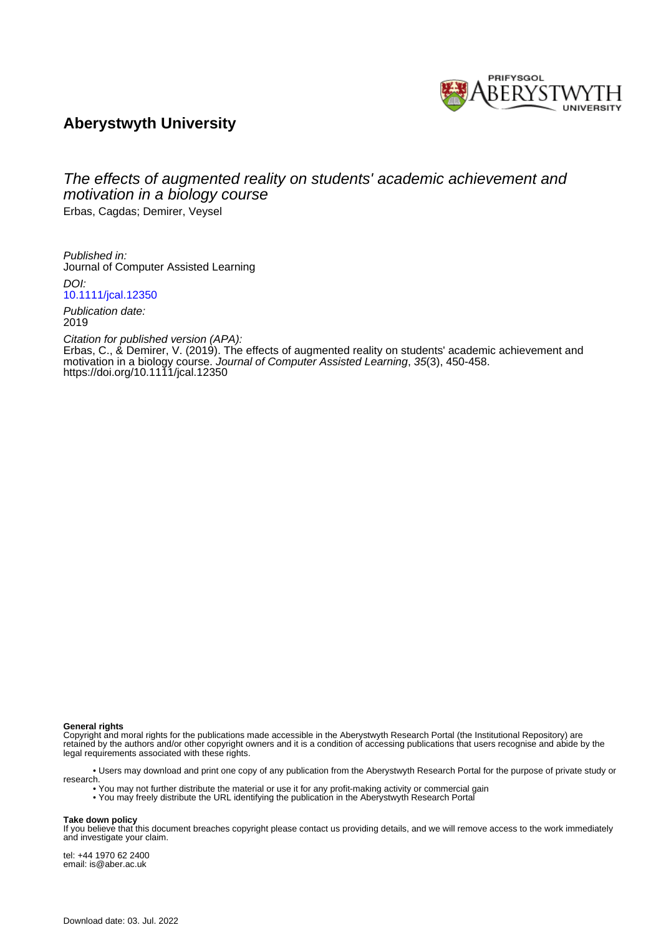

## **Aberystwyth University**

# The effects of augmented reality on students' academic achievement and motivation in a biology course

Erbas, Cagdas; Demirer, Veysel

Published in: Journal of Computer Assisted Learning DOI: [10.1111/jcal.12350](https://doi.org/10.1111/jcal.12350)

Publication date: 2019

Citation for published version (APA): Erbas, C., & Demirer, V. (2019). The effects of augmented reality on students' academic achievement and motivation in a biology course. Journal of Computer Assisted Learning, 35(3), 450-458. <https://doi.org/10.1111/jcal.12350>

#### **General rights**

Copyright and moral rights for the publications made accessible in the Aberystwyth Research Portal (the Institutional Repository) are retained by the authors and/or other copyright owners and it is a condition of accessing publications that users recognise and abide by the legal requirements associated with these rights.

 • Users may download and print one copy of any publication from the Aberystwyth Research Portal for the purpose of private study or research.

- You may not further distribute the material or use it for any profit-making activity or commercial gain
- You may freely distribute the URL identifying the publication in the Aberystwyth Research Portal

#### **Take down policy**

If you believe that this document breaches copyright please contact us providing details, and we will remove access to the work immediately and investigate your claim.

tel: +44 1970 62 2400 email: is@aber.ac.uk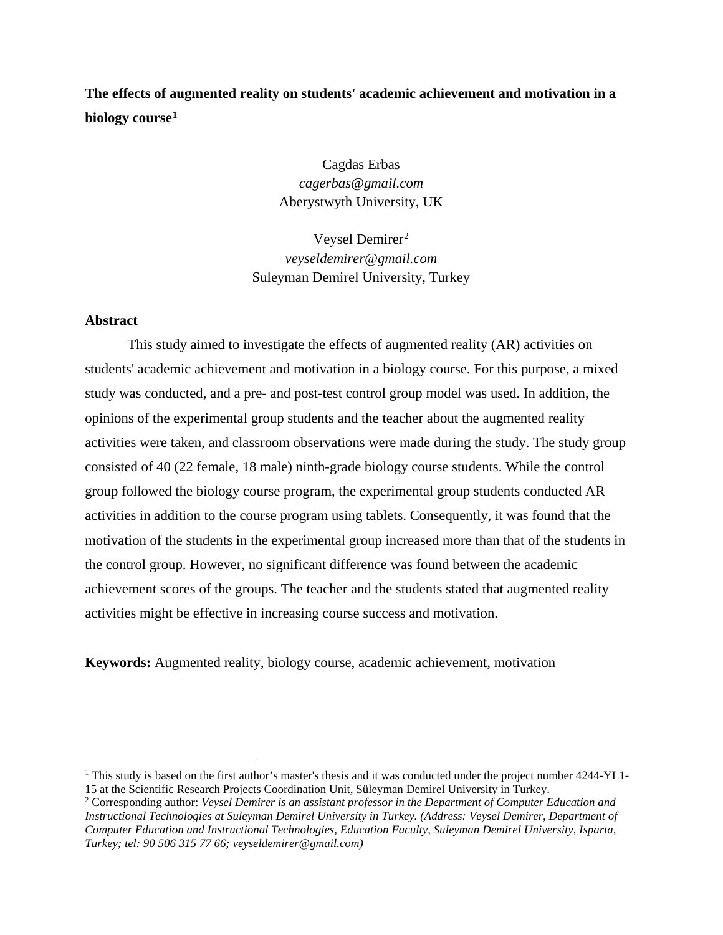## **The effects of augmented reality on students' academic achievement and motivation in a biology course[1](#page-1-0)**

Cagdas Erbas *cagerbas@gmail.com* Aberystwyth University, UK

Veysel Demirer<sup>[2](#page-1-1)</sup> *veyseldemirer@gmail.com* Suleyman Demirel University, Turkey

## **Abstract**

This study aimed to investigate the effects of augmented reality (AR) activities on students' academic achievement and motivation in a biology course. For this purpose, a mixed study was conducted, and a pre- and post-test control group model was used. In addition, the opinions of the experimental group students and the teacher about the augmented reality activities were taken, and classroom observations were made during the study. The study group consisted of 40 (22 female, 18 male) ninth-grade biology course students. While the control group followed the biology course program, the experimental group students conducted AR activities in addition to the course program using tablets. Consequently, it was found that the motivation of the students in the experimental group increased more than that of the students in the control group. However, no significant difference was found between the academic achievement scores of the groups. The teacher and the students stated that augmented reality activities might be effective in increasing course success and motivation.

**Keywords:** Augmented reality, biology course, academic achievement, motivation

<span id="page-1-0"></span><sup>&</sup>lt;sup>1</sup> This study is based on the first author's master's thesis and it was conducted under the project number  $4244-YL1$ -15 at the Scientific Research Projects Coordination Unit, Süleyman Demirel University in Turkey.

<span id="page-1-1"></span><sup>2</sup> Corresponding author: *Veysel Demirer is an assistant professor in the Department of Computer Education and Instructional Technologies at Suleyman Demirel University in Turkey. (Address: Veysel Demirer, Department of Computer Education and Instructional Technologies, Education Faculty, Suleyman Demirel University, Isparta, Turkey; tel: 90 506 315 77 66; veyseldemirer@gmail.com)*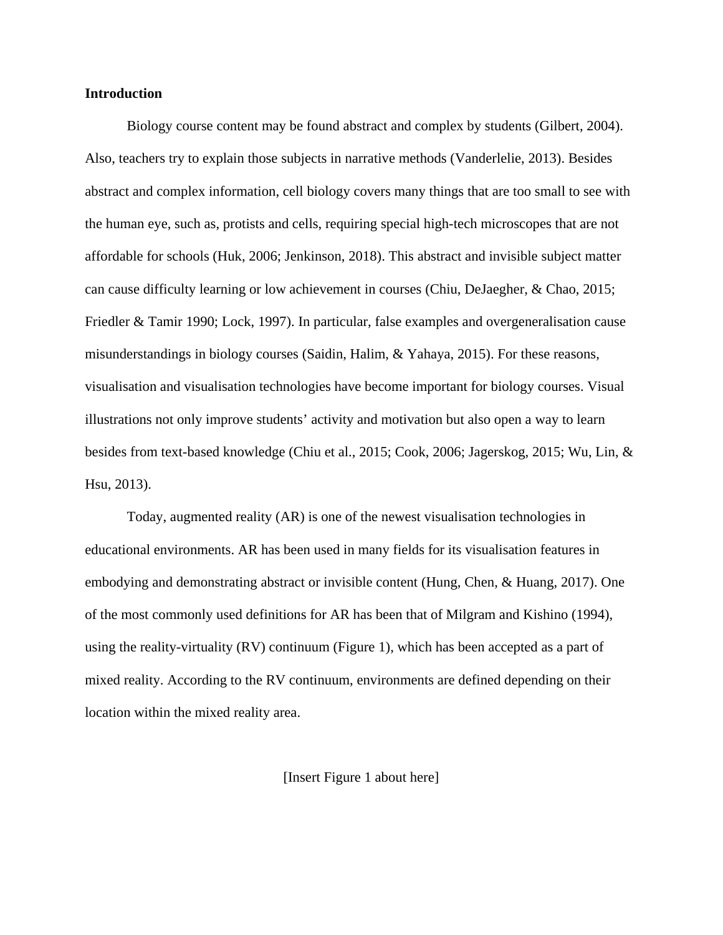## **Introduction**

Biology course content may be found abstract and complex by students (Gilbert, 2004). Also, teachers try to explain those subjects in narrative methods (Vanderlelie, 2013). Besides abstract and complex information, cell biology covers many things that are too small to see with the human eye, such as, protists and cells, requiring special high-tech microscopes that are not affordable for schools (Huk, 2006; Jenkinson, 2018). This abstract and invisible subject matter can cause difficulty learning or low achievement in courses (Chiu, DeJaegher, & Chao, 2015; Friedler & Tamir 1990; Lock, 1997). In particular, false examples and overgeneralisation cause misunderstandings in biology courses (Saidin, Halim, & Yahaya, 2015). For these reasons, visualisation and visualisation technologies have become important for biology courses. Visual illustrations not only improve students' activity and motivation but also open a way to learn besides from text-based knowledge (Chiu et al., 2015; Cook, 2006; Jagerskog, 2015; Wu, Lin, & Hsu, 2013).

Today, augmented reality (AR) is one of the newest visualisation technologies in educational environments. AR has been used in many fields for its visualisation features in embodying and demonstrating abstract or invisible content (Hung, Chen, & Huang, 2017). One of the most commonly used definitions for AR has been that of Milgram and Kishino (1994), using the reality-virtuality (RV) continuum (Figure 1), which has been accepted as a part of mixed reality. According to the RV continuum, environments are defined depending on their location within the mixed reality area.

[Insert Figure 1 about here]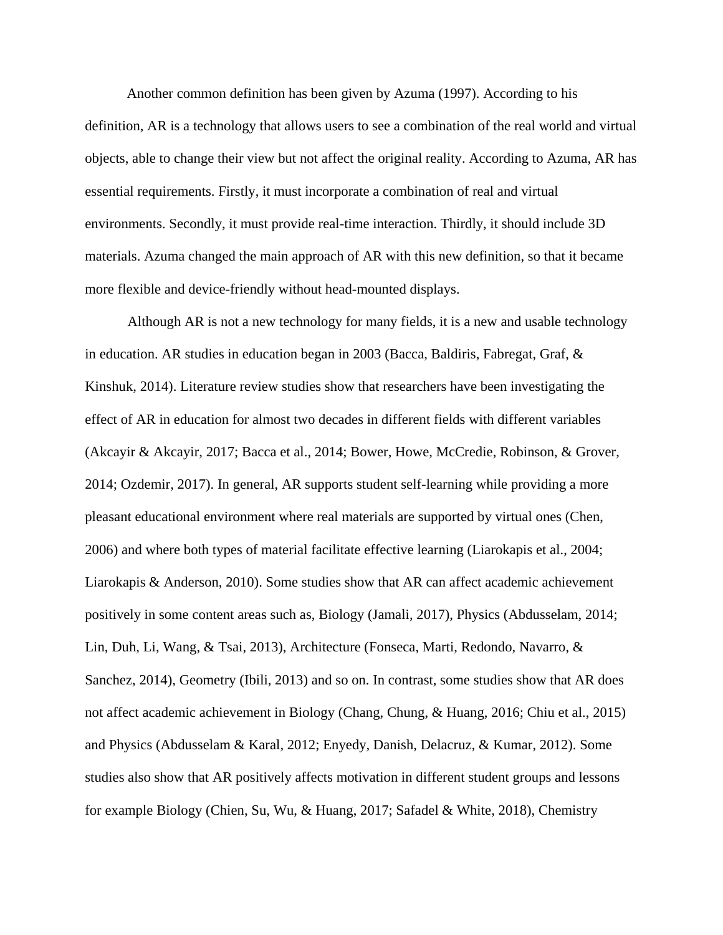Another common definition has been given by Azuma (1997). According to his definition, AR is a technology that allows users to see a combination of the real world and virtual objects, able to change their view but not affect the original reality. According to Azuma, AR has essential requirements. Firstly, it must incorporate a combination of real and virtual environments. Secondly, it must provide real-time interaction. Thirdly, it should include 3D materials. Azuma changed the main approach of AR with this new definition, so that it became more flexible and device-friendly without head-mounted displays.

Although AR is not a new technology for many fields, it is a new and usable technology in education. AR studies in education began in 2003 (Bacca, Baldiris, Fabregat, Graf, & Kinshuk, 2014). Literature review studies show that researchers have been investigating the effect of AR in education for almost two decades in different fields with different variables (Akcayir & Akcayir, 2017; Bacca et al., 2014; Bower, Howe, McCredie, Robinson, & Grover, 2014; Ozdemir, 2017). In general, AR supports student self-learning while providing a more pleasant educational environment where real materials are supported by virtual ones (Chen, 2006) and where both types of material facilitate effective learning (Liarokapis et al., 2004; Liarokapis & Anderson, 2010). Some studies show that AR can affect academic achievement positively in some content areas such as, Biology (Jamali, 2017), Physics (Abdusselam, 2014; Lin, Duh, Li, Wang, & Tsai, 2013), Architecture (Fonseca, Marti, Redondo, Navarro, & Sanchez, 2014), Geometry (Ibili, 2013) and so on. In contrast, some studies show that AR does not affect academic achievement in Biology (Chang, Chung, & Huang, 2016; Chiu et al., 2015) and Physics (Abdusselam & Karal, 2012; Enyedy, Danish, Delacruz, & Kumar, 2012). Some studies also show that AR positively affects motivation in different student groups and lessons for example Biology (Chien, Su, Wu, & Huang, 2017; Safadel & White, 2018), Chemistry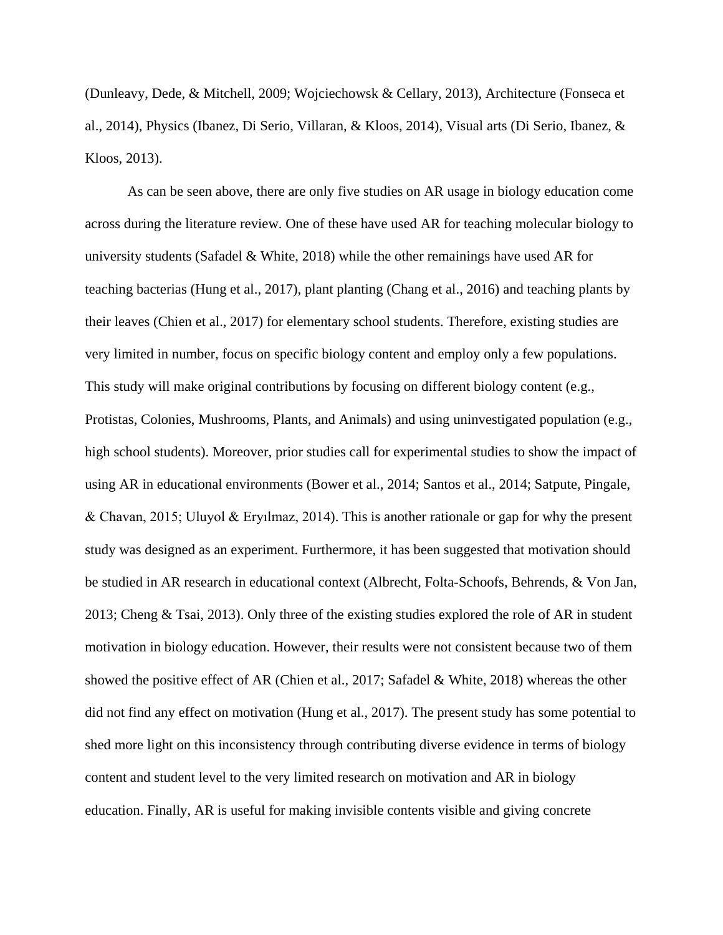(Dunleavy, Dede, & Mitchell, 2009; Wojciechowsk & Cellary, 2013), Architecture (Fonseca et al., 2014), Physics (Ibanez, Di Serio, Villaran, & Kloos, 2014), Visual arts (Di Serio, Ibanez, & Kloos, 2013).

As can be seen above, there are only five studies on AR usage in biology education come across during the literature review. One of these have used AR for teaching molecular biology to university students (Safadel & White, 2018) while the other remainings have used AR for teaching bacterias (Hung et al., 2017), plant planting (Chang et al., 2016) and teaching plants by their leaves (Chien et al., 2017) for elementary school students. Therefore, existing studies are very limited in number, focus on specific biology content and employ only a few populations. This study will make original contributions by focusing on different biology content (e.g., Protistas, Colonies, Mushrooms, Plants, and Animals) and using uninvestigated population (e.g., high school students). Moreover, prior studies call for experimental studies to show the impact of using AR in educational environments (Bower et al., 2014; Santos et al., 2014; Satpute, Pingale, & Chavan, 2015; Uluyol & Eryılmaz, 2014). This is another rationale or gap for why the present study was designed as an experiment. Furthermore, it has been suggested that motivation should be studied in AR research in educational context (Albrecht, Folta-Schoofs, Behrends, & Von Jan, 2013; Cheng & Tsai, 2013). Only three of the existing studies explored the role of AR in student motivation in biology education. However, their results were not consistent because two of them showed the positive effect of AR (Chien et al., 2017; Safadel & White, 2018) whereas the other did not find any effect on motivation (Hung et al., 2017). The present study has some potential to shed more light on this inconsistency through contributing diverse evidence in terms of biology content and student level to the very limited research on motivation and AR in biology education. Finally, AR is useful for making invisible contents visible and giving concrete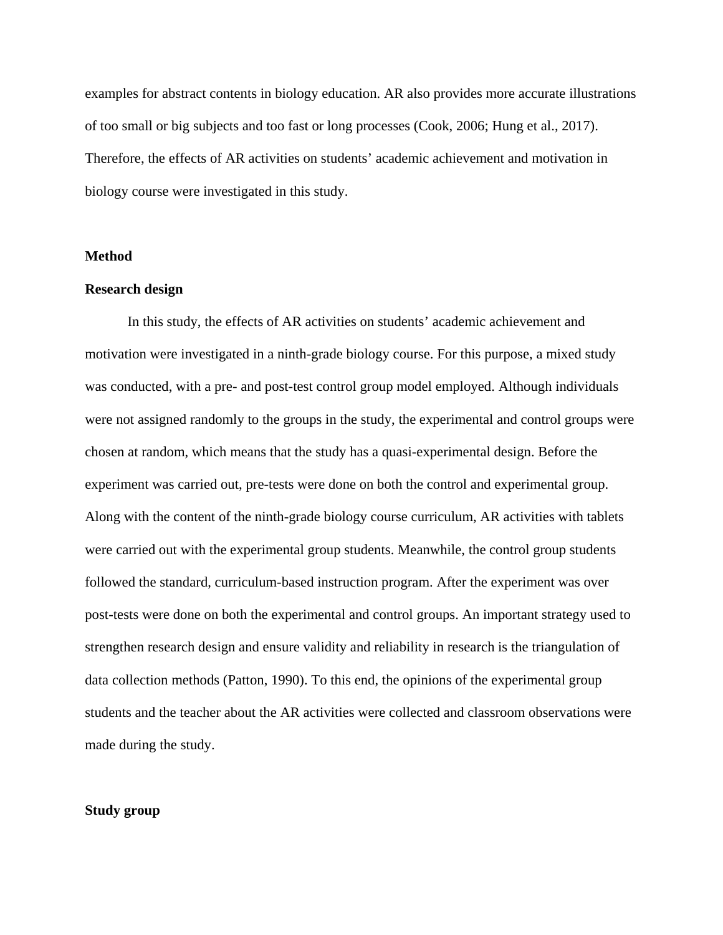examples for abstract contents in biology education. AR also provides more accurate illustrations of too small or big subjects and too fast or long processes (Cook, 2006; Hung et al., 2017). Therefore, the effects of AR activities on students' academic achievement and motivation in biology course were investigated in this study.

## **Method**

#### **Research design**

In this study, the effects of AR activities on students' academic achievement and motivation were investigated in a ninth-grade biology course. For this purpose, a mixed study was conducted, with a pre- and post-test control group model employed. Although individuals were not assigned randomly to the groups in the study, the experimental and control groups were chosen at random, which means that the study has a quasi-experimental design. Before the experiment was carried out, pre-tests were done on both the control and experimental group. Along with the content of the ninth-grade biology course curriculum, AR activities with tablets were carried out with the experimental group students. Meanwhile, the control group students followed the standard, curriculum-based instruction program. After the experiment was over post-tests were done on both the experimental and control groups. An important strategy used to strengthen research design and ensure validity and reliability in research is the triangulation of data collection methods (Patton, 1990). To this end, the opinions of the experimental group students and the teacher about the AR activities were collected and classroom observations were made during the study.

#### **Study group**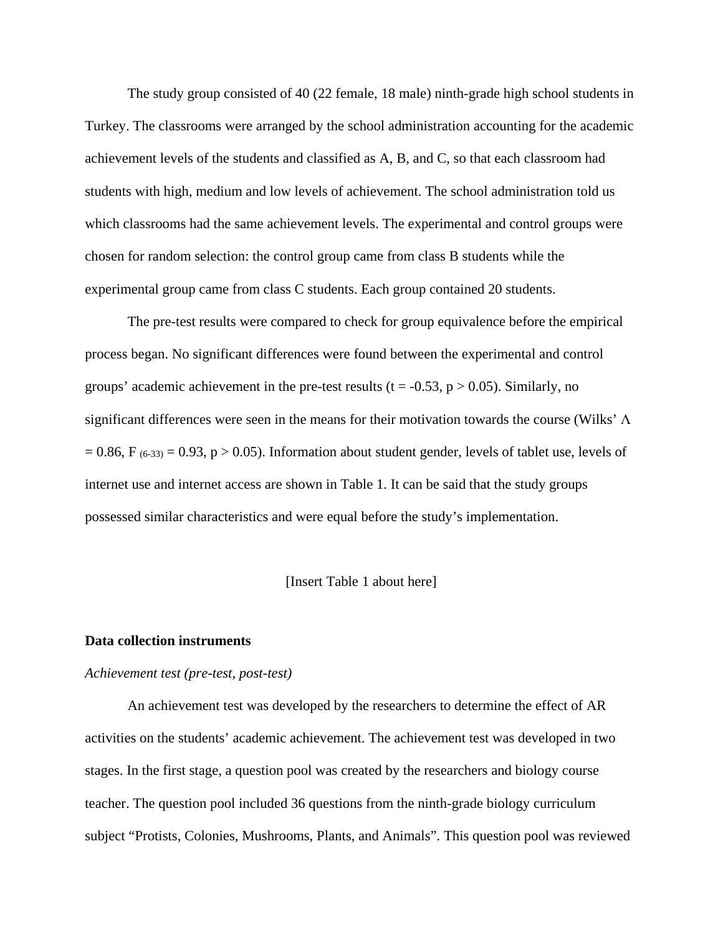The study group consisted of 40 (22 female, 18 male) ninth-grade high school students in Turkey. The classrooms were arranged by the school administration accounting for the academic achievement levels of the students and classified as A, B, and C, so that each classroom had students with high, medium and low levels of achievement. The school administration told us which classrooms had the same achievement levels. The experimental and control groups were chosen for random selection: the control group came from class B students while the experimental group came from class C students. Each group contained 20 students.

The pre-test results were compared to check for group equivalence before the empirical process began. No significant differences were found between the experimental and control groups' academic achievement in the pre-test results ( $t = -0.53$ ,  $p > 0.05$ ). Similarly, no significant differences were seen in the means for their motivation towards the course (Wilks' Λ  $= 0.86$ , F (6-33) = 0.93, p > 0.05). Information about student gender, levels of tablet use, levels of internet use and internet access are shown in Table 1. It can be said that the study groups possessed similar characteristics and were equal before the study's implementation.

#### [Insert Table 1 about here]

#### **Data collection instruments**

#### *Achievement test (pre-test, post-test)*

An achievement test was developed by the researchers to determine the effect of AR activities on the students' academic achievement. The achievement test was developed in two stages. In the first stage, a question pool was created by the researchers and biology course teacher. The question pool included 36 questions from the ninth-grade biology curriculum subject "Protists, Colonies, Mushrooms, Plants, and Animals". This question pool was reviewed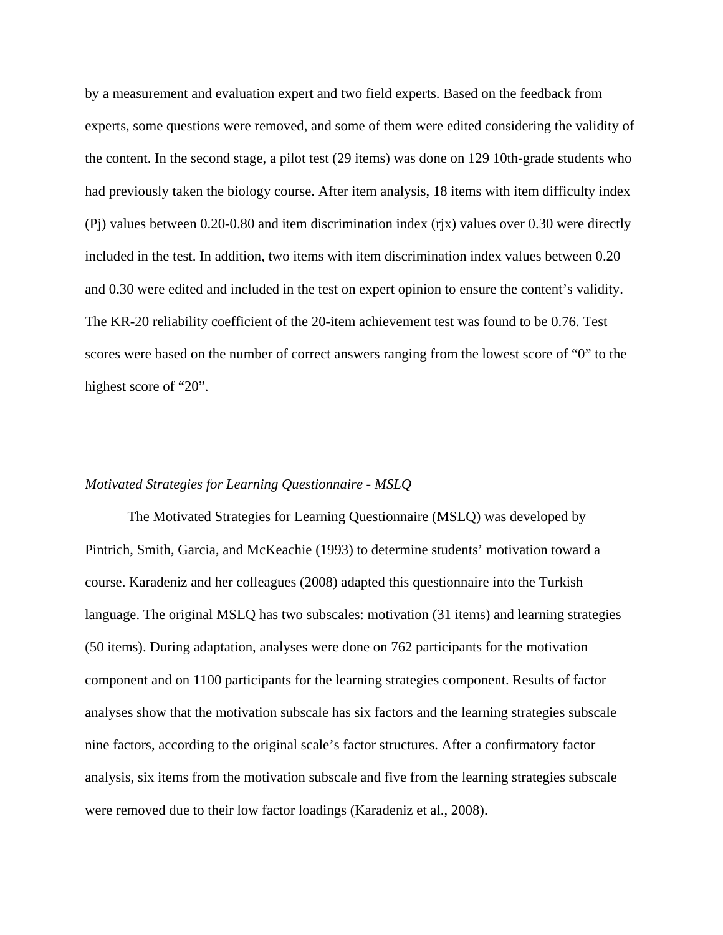by a measurement and evaluation expert and two field experts. Based on the feedback from experts, some questions were removed, and some of them were edited considering the validity of the content. In the second stage, a pilot test (29 items) was done on 129 10th-grade students who had previously taken the biology course. After item analysis, 18 items with item difficulty index (Pj) values between 0.20-0.80 and item discrimination index (rjx) values over 0.30 were directly included in the test. In addition, two items with item discrimination index values between 0.20 and 0.30 were edited and included in the test on expert opinion to ensure the content's validity. The KR-20 reliability coefficient of the 20-item achievement test was found to be 0.76. Test scores were based on the number of correct answers ranging from the lowest score of "0" to the highest score of "20".

### *Motivated Strategies for Learning Questionnaire - MSLQ*

The Motivated Strategies for Learning Questionnaire (MSLQ) was developed by Pintrich, Smith, Garcia, and McKeachie (1993) to determine students' motivation toward a course. Karadeniz and her colleagues (2008) adapted this questionnaire into the Turkish language. The original MSLQ has two subscales: motivation (31 items) and learning strategies (50 items). During adaptation, analyses were done on 762 participants for the motivation component and on 1100 participants for the learning strategies component. Results of factor analyses show that the motivation subscale has six factors and the learning strategies subscale nine factors, according to the original scale's factor structures. After a confirmatory factor analysis, six items from the motivation subscale and five from the learning strategies subscale were removed due to their low factor loadings (Karadeniz et al., 2008).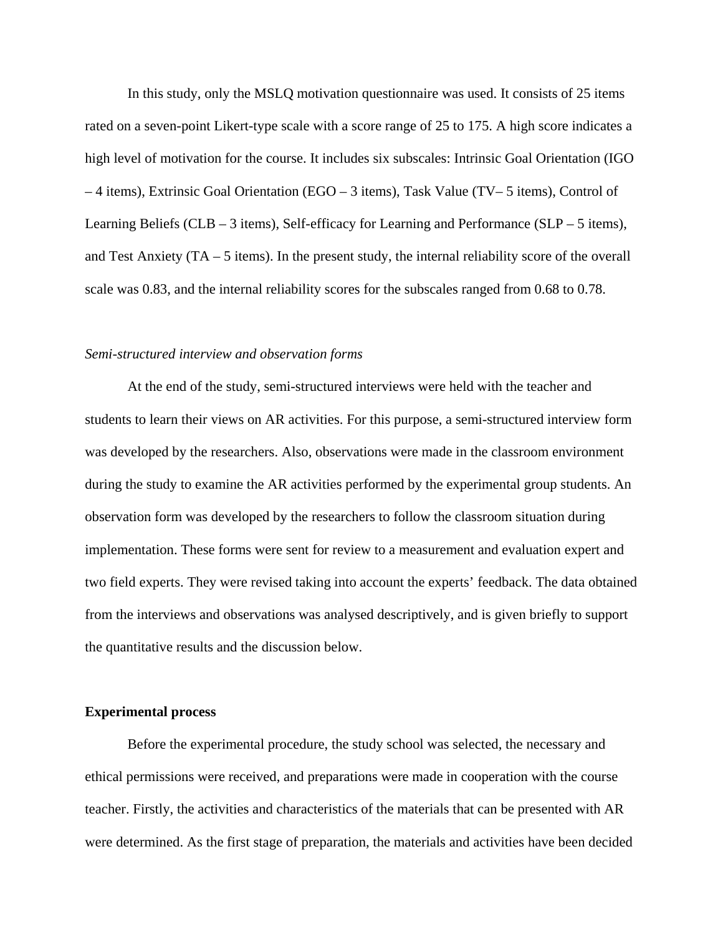In this study, only the MSLQ motivation questionnaire was used. It consists of 25 items rated on a seven-point Likert-type scale with a score range of 25 to 175. A high score indicates a high level of motivation for the course. It includes six subscales: Intrinsic Goal Orientation (IGO – 4 items), Extrinsic Goal Orientation (EGO – 3 items), Task Value (TV– 5 items), Control of Learning Beliefs (CLB – 3 items), Self-efficacy for Learning and Performance (SLP – 5 items), and Test Anxiety (TA – 5 items). In the present study, the internal reliability score of the overall scale was 0.83, and the internal reliability scores for the subscales ranged from 0.68 to 0.78.

#### *Semi-structured interview and observation forms*

At the end of the study, semi-structured interviews were held with the teacher and students to learn their views on AR activities. For this purpose, a semi-structured interview form was developed by the researchers. Also, observations were made in the classroom environment during the study to examine the AR activities performed by the experimental group students. An observation form was developed by the researchers to follow the classroom situation during implementation. These forms were sent for review to a measurement and evaluation expert and two field experts. They were revised taking into account the experts' feedback. The data obtained from the interviews and observations was analysed descriptively, and is given briefly to support the quantitative results and the discussion below.

#### **Experimental process**

Before the experimental procedure, the study school was selected, the necessary and ethical permissions were received, and preparations were made in cooperation with the course teacher. Firstly, the activities and characteristics of the materials that can be presented with AR were determined. As the first stage of preparation, the materials and activities have been decided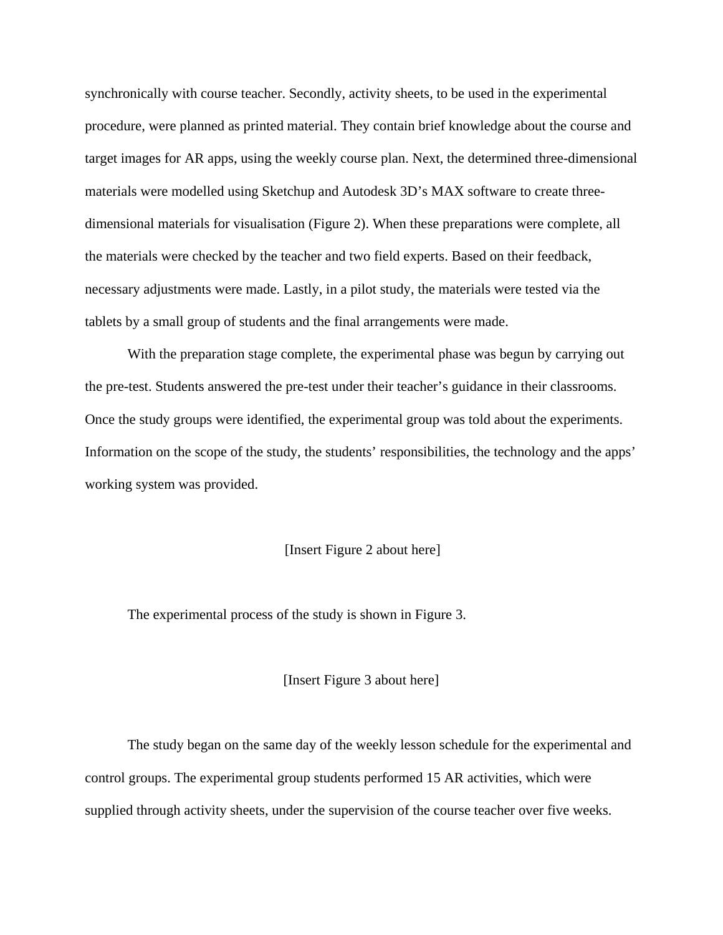synchronically with course teacher. Secondly, activity sheets, to be used in the experimental procedure, were planned as printed material. They contain brief knowledge about the course and target images for AR apps, using the weekly course plan. Next, the determined three-dimensional materials were modelled using Sketchup and Autodesk 3D's MAX software to create threedimensional materials for visualisation (Figure 2). When these preparations were complete, all the materials were checked by the teacher and two field experts. Based on their feedback, necessary adjustments were made. Lastly, in a pilot study, the materials were tested via the tablets by a small group of students and the final arrangements were made.

With the preparation stage complete, the experimental phase was begun by carrying out the pre-test. Students answered the pre-test under their teacher's guidance in their classrooms. Once the study groups were identified, the experimental group was told about the experiments. Information on the scope of the study, the students' responsibilities, the technology and the apps' working system was provided.

## [Insert Figure 2 about here]

The experimental process of the study is shown in Figure 3.

[Insert Figure 3 about here]

The study began on the same day of the weekly lesson schedule for the experimental and control groups. The experimental group students performed 15 AR activities, which were supplied through activity sheets, under the supervision of the course teacher over five weeks.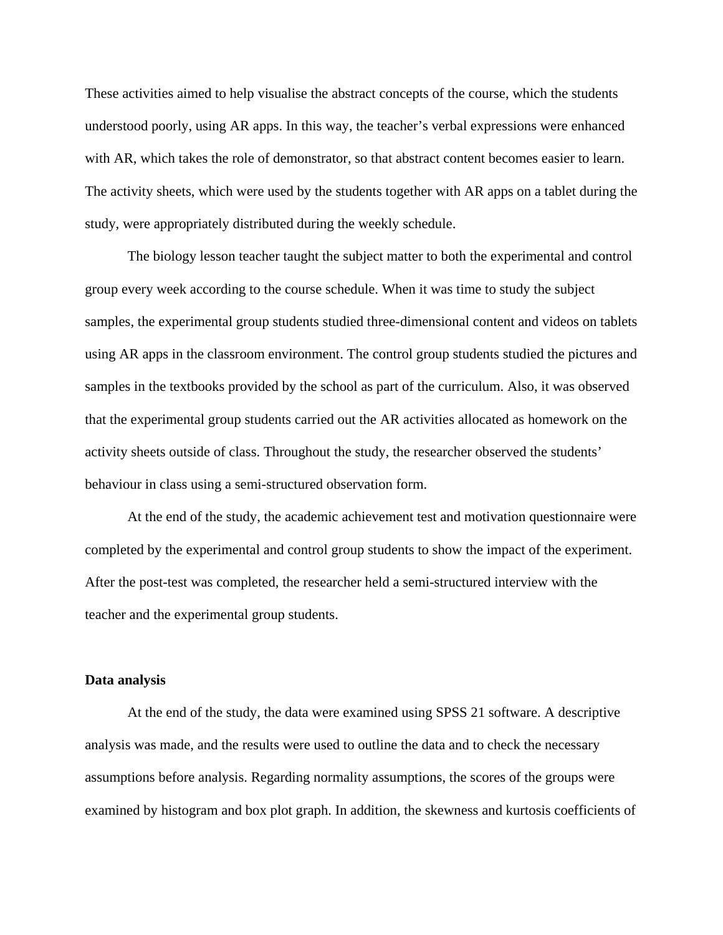These activities aimed to help visualise the abstract concepts of the course, which the students understood poorly, using AR apps. In this way, the teacher's verbal expressions were enhanced with AR, which takes the role of demonstrator, so that abstract content becomes easier to learn. The activity sheets, which were used by the students together with AR apps on a tablet during the study, were appropriately distributed during the weekly schedule.

The biology lesson teacher taught the subject matter to both the experimental and control group every week according to the course schedule. When it was time to study the subject samples, the experimental group students studied three-dimensional content and videos on tablets using AR apps in the classroom environment. The control group students studied the pictures and samples in the textbooks provided by the school as part of the curriculum. Also, it was observed that the experimental group students carried out the AR activities allocated as homework on the activity sheets outside of class. Throughout the study, the researcher observed the students' behaviour in class using a semi-structured observation form.

At the end of the study, the academic achievement test and motivation questionnaire were completed by the experimental and control group students to show the impact of the experiment. After the post-test was completed, the researcher held a semi-structured interview with the teacher and the experimental group students.

## **Data analysis**

At the end of the study, the data were examined using SPSS 21 software. A descriptive analysis was made, and the results were used to outline the data and to check the necessary assumptions before analysis. Regarding normality assumptions, the scores of the groups were examined by histogram and box plot graph. In addition, the skewness and kurtosis coefficients of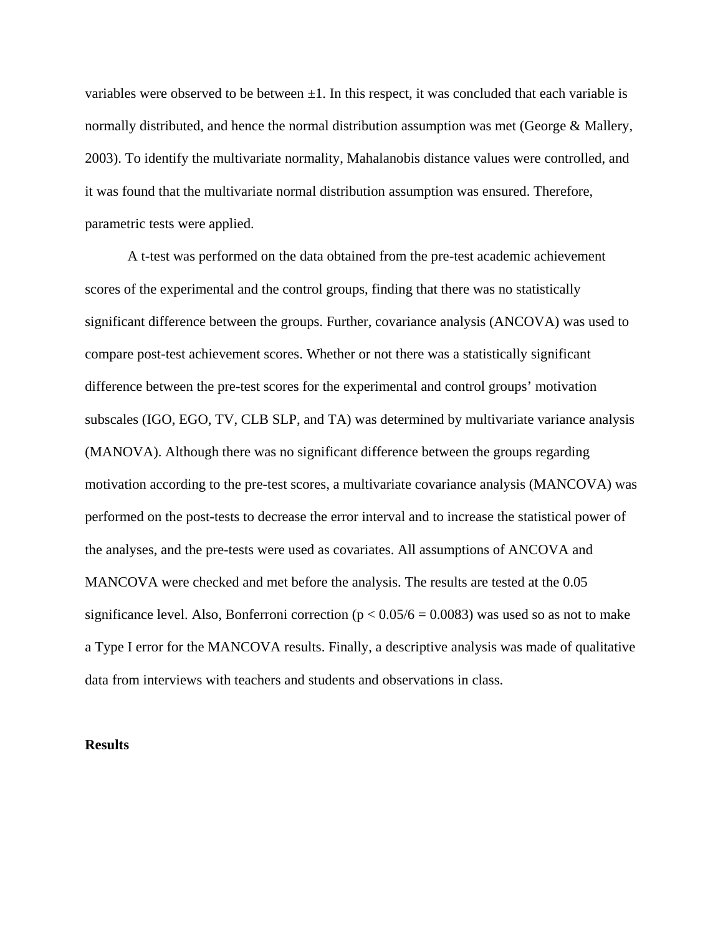variables were observed to be between  $\pm 1$ . In this respect, it was concluded that each variable is normally distributed, and hence the normal distribution assumption was met (George & Mallery, 2003). To identify the multivariate normality, Mahalanobis distance values were controlled, and it was found that the multivariate normal distribution assumption was ensured. Therefore, parametric tests were applied.

A t-test was performed on the data obtained from the pre-test academic achievement scores of the experimental and the control groups, finding that there was no statistically significant difference between the groups. Further, covariance analysis (ANCOVA) was used to compare post-test achievement scores. Whether or not there was a statistically significant difference between the pre-test scores for the experimental and control groups' motivation subscales (IGO, EGO, TV, CLB SLP, and TA) was determined by multivariate variance analysis (MANOVA). Although there was no significant difference between the groups regarding motivation according to the pre-test scores, a multivariate covariance analysis (MANCOVA) was performed on the post-tests to decrease the error interval and to increase the statistical power of the analyses, and the pre-tests were used as covariates. All assumptions of ANCOVA and MANCOVA were checked and met before the analysis. The results are tested at the 0.05 significance level. Also, Bonferroni correction ( $p < 0.05/6 = 0.0083$ ) was used so as not to make a Type I error for the MANCOVA results. Finally, a descriptive analysis was made of qualitative data from interviews with teachers and students and observations in class.

## **Results**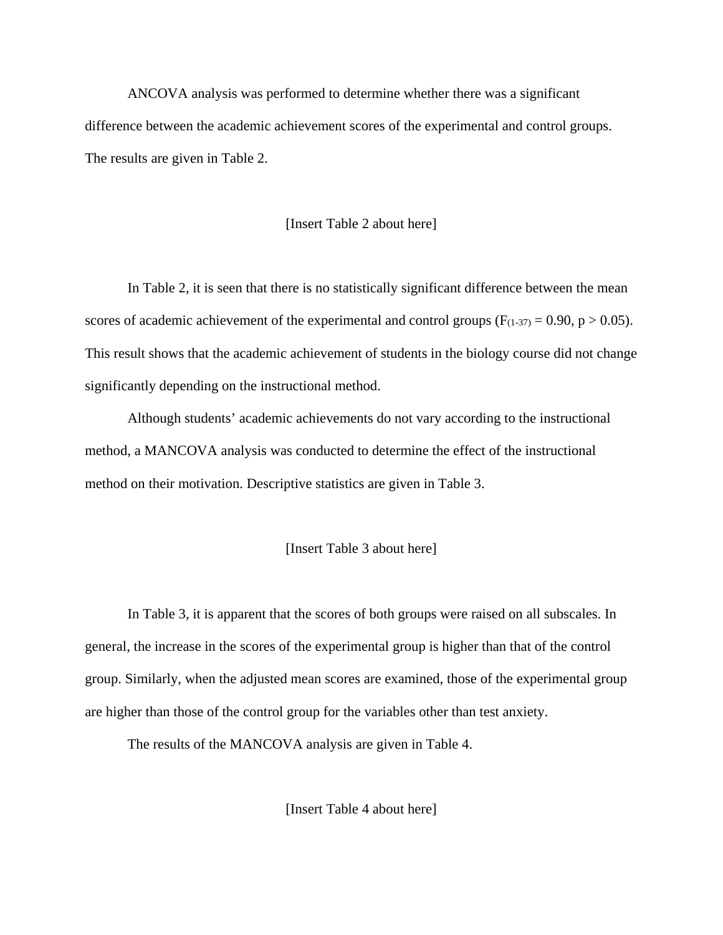ANCOVA analysis was performed to determine whether there was a significant difference between the academic achievement scores of the experimental and control groups. The results are given in Table 2.

## [Insert Table 2 about here]

In Table 2, it is seen that there is no statistically significant difference between the mean scores of academic achievement of the experimental and control groups ( $F(1-37) = 0.90$ ,  $p > 0.05$ ). This result shows that the academic achievement of students in the biology course did not change significantly depending on the instructional method.

Although students' academic achievements do not vary according to the instructional method, a MANCOVA analysis was conducted to determine the effect of the instructional method on their motivation. Descriptive statistics are given in Table 3.

## [Insert Table 3 about here]

In Table 3, it is apparent that the scores of both groups were raised on all subscales. In general, the increase in the scores of the experimental group is higher than that of the control group. Similarly, when the adjusted mean scores are examined, those of the experimental group are higher than those of the control group for the variables other than test anxiety.

The results of the MANCOVA analysis are given in Table 4.

[Insert Table 4 about here]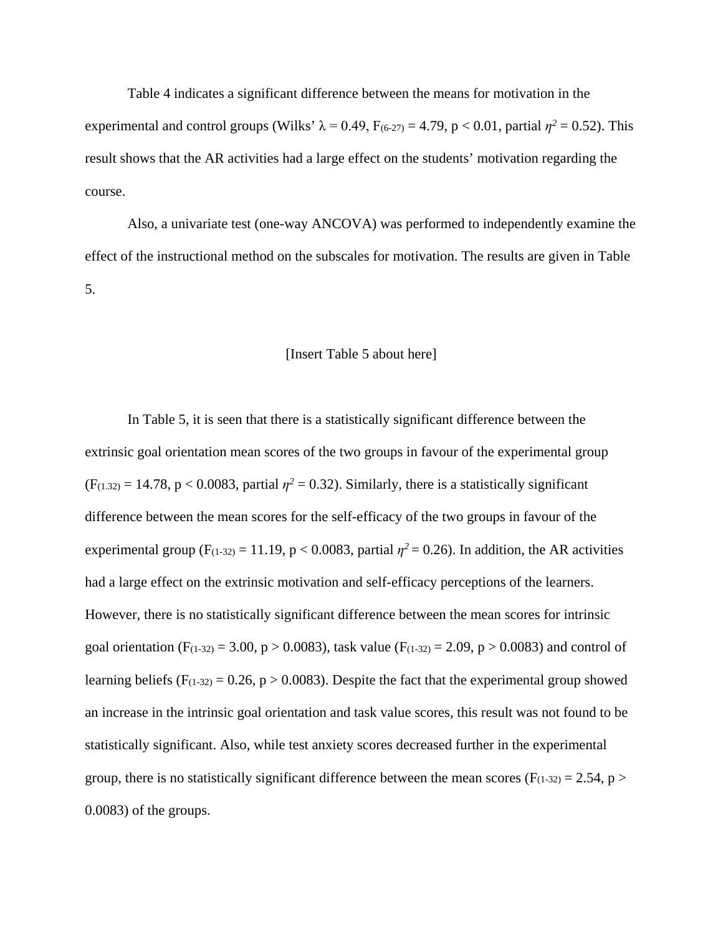Table 4 indicates a significant difference between the means for motivation in the experimental and control groups (Wilks'  $\lambda = 0.49$ ,  $F_{(6-27)} = 4.79$ , p < 0.01, partial  $\eta^2 = 0.52$ ). This result shows that the AR activities had a large effect on the students' motivation regarding the course.

Also, a univariate test (one-way ANCOVA) was performed to independently examine the effect of the instructional method on the subscales for motivation. The results are given in Table 5.

## [Insert Table 5 about here]

In Table 5, it is seen that there is a statistically significant difference between the extrinsic goal orientation mean scores of the two groups in favour of the experimental group  $(F(1.32) = 14.78, p < 0.0083$ , partial  $\eta^2 = 0.32$ ). Similarly, there is a statistically significant difference between the mean scores for the self-efficacy of the two groups in favour of the experimental group ( $F(1-32) = 11.19$ ,  $p < 0.0083$ , partial  $\eta^2 = 0.26$ ). In addition, the AR activities had a large effect on the extrinsic motivation and self-efficacy perceptions of the learners. However, there is no statistically significant difference between the mean scores for intrinsic goal orientation (F<sub>(1-32)</sub> = 3.00, p > 0.0083), task value (F<sub>(1-32)</sub> = 2.09, p > 0.0083) and control of learning beliefs ( $F_{(1-32)} = 0.26$ ,  $p > 0.0083$ ). Despite the fact that the experimental group showed an increase in the intrinsic goal orientation and task value scores, this result was not found to be statistically significant. Also, while test anxiety scores decreased further in the experimental group, there is no statistically significant difference between the mean scores ( $F(1-32) = 2.54$ ,  $p >$ 0.0083) of the groups.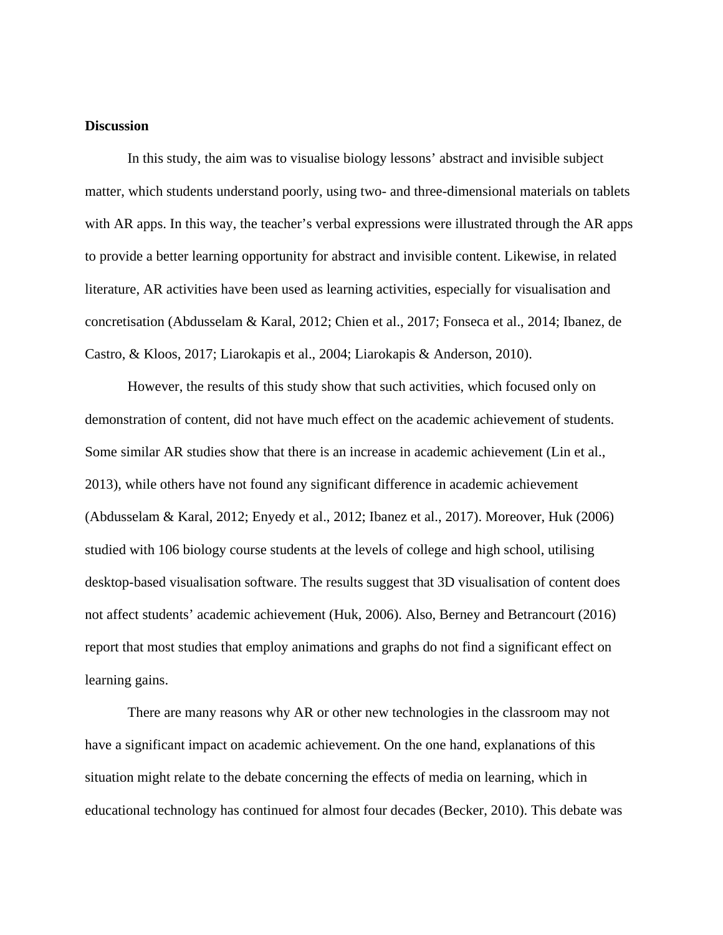## **Discussion**

In this study, the aim was to visualise biology lessons' abstract and invisible subject matter, which students understand poorly, using two- and three-dimensional materials on tablets with AR apps. In this way, the teacher's verbal expressions were illustrated through the AR apps to provide a better learning opportunity for abstract and invisible content. Likewise, in related literature, AR activities have been used as learning activities, especially for visualisation and concretisation (Abdusselam & Karal, 2012; Chien et al., 2017; Fonseca et al., 2014; Ibanez, de Castro, & Kloos, 2017; Liarokapis et al., 2004; Liarokapis & Anderson, 2010).

However, the results of this study show that such activities, which focused only on demonstration of content, did not have much effect on the academic achievement of students. Some similar AR studies show that there is an increase in academic achievement (Lin et al., 2013), while others have not found any significant difference in academic achievement (Abdusselam & Karal, 2012; Enyedy et al., 2012; Ibanez et al., 2017). Moreover, Huk (2006) studied with 106 biology course students at the levels of college and high school, utilising desktop-based visualisation software. The results suggest that 3D visualisation of content does not affect students' academic achievement (Huk, 2006). Also, Berney and Betrancourt (2016) report that most studies that employ animations and graphs do not find a significant effect on learning gains.

There are many reasons why AR or other new technologies in the classroom may not have a significant impact on academic achievement. On the one hand, explanations of this situation might relate to the debate concerning the effects of media on learning, which in educational technology has continued for almost four decades (Becker, 2010). This debate was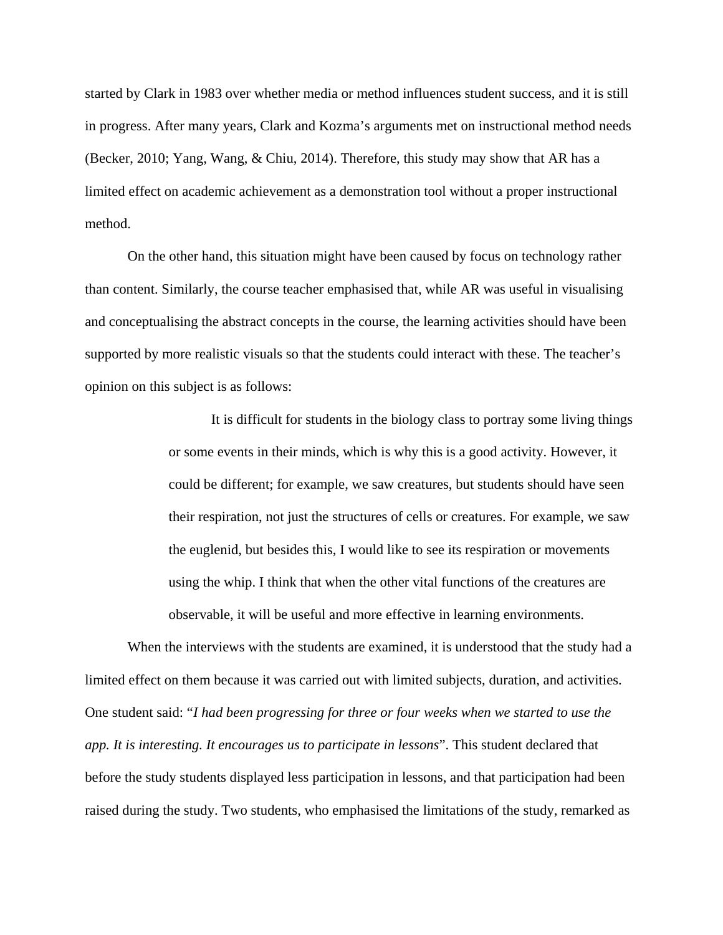started by Clark in 1983 over whether media or method influences student success, and it is still in progress. After many years, Clark and Kozma's arguments met on instructional method needs (Becker, 2010; Yang, Wang, & Chiu, 2014). Therefore, this study may show that AR has a limited effect on academic achievement as a demonstration tool without a proper instructional method.

On the other hand, this situation might have been caused by focus on technology rather than content. Similarly, the course teacher emphasised that, while AR was useful in visualising and conceptualising the abstract concepts in the course, the learning activities should have been supported by more realistic visuals so that the students could interact with these. The teacher's opinion on this subject is as follows:

> It is difficult for students in the biology class to portray some living things or some events in their minds, which is why this is a good activity. However, it could be different; for example, we saw creatures, but students should have seen their respiration, not just the structures of cells or creatures. For example, we saw the euglenid, but besides this, I would like to see its respiration or movements using the whip. I think that when the other vital functions of the creatures are observable, it will be useful and more effective in learning environments.

When the interviews with the students are examined, it is understood that the study had a limited effect on them because it was carried out with limited subjects, duration, and activities. One student said: "*I had been progressing for three or four weeks when we started to use the app. It is interesting. It encourages us to participate in lessons*". This student declared that before the study students displayed less participation in lessons, and that participation had been raised during the study. Two students, who emphasised the limitations of the study, remarked as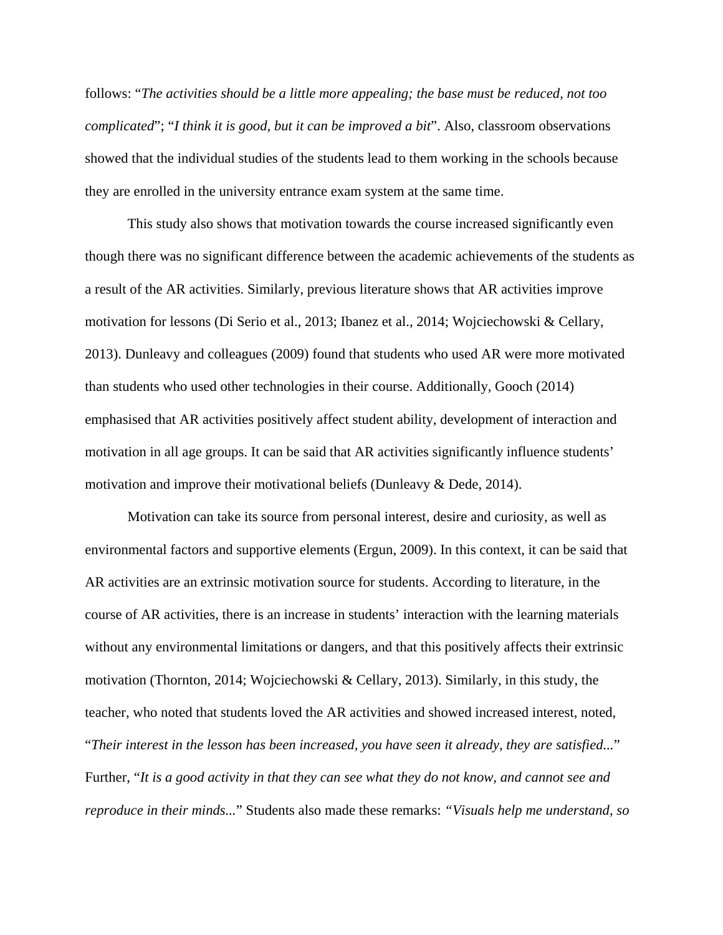follows: "*The activities should be a little more appealing; the base must be reduced, not too complicated*"; "*I think it is good, but it can be improved a bit*". Also, classroom observations showed that the individual studies of the students lead to them working in the schools because they are enrolled in the university entrance exam system at the same time.

This study also shows that motivation towards the course increased significantly even though there was no significant difference between the academic achievements of the students as a result of the AR activities. Similarly, previous literature shows that AR activities improve motivation for lessons (Di Serio et al., 2013; Ibanez et al., 2014; Wojciechowski & Cellary, 2013). Dunleavy and colleagues (2009) found that students who used AR were more motivated than students who used other technologies in their course. Additionally, Gooch (2014) emphasised that AR activities positively affect student ability, development of interaction and motivation in all age groups. It can be said that AR activities significantly influence students' motivation and improve their motivational beliefs (Dunleavy & Dede, 2014).

Motivation can take its source from personal interest, desire and curiosity, as well as environmental factors and supportive elements (Ergun, 2009). In this context, it can be said that AR activities are an extrinsic motivation source for students. According to literature, in the course of AR activities, there is an increase in students' interaction with the learning materials without any environmental limitations or dangers, and that this positively affects their extrinsic motivation (Thornton, 2014; Wojciechowski & Cellary, 2013). Similarly, in this study, the teacher, who noted that students loved the AR activities and showed increased interest, noted, "*Their interest in the lesson has been increased, you have seen it already, they are satisfied...*" Further, "*It is a good activity in that they can see what they do not know, and cannot see and reproduce in their minds...*" Students also made these remarks: *"Visuals help me understand, so*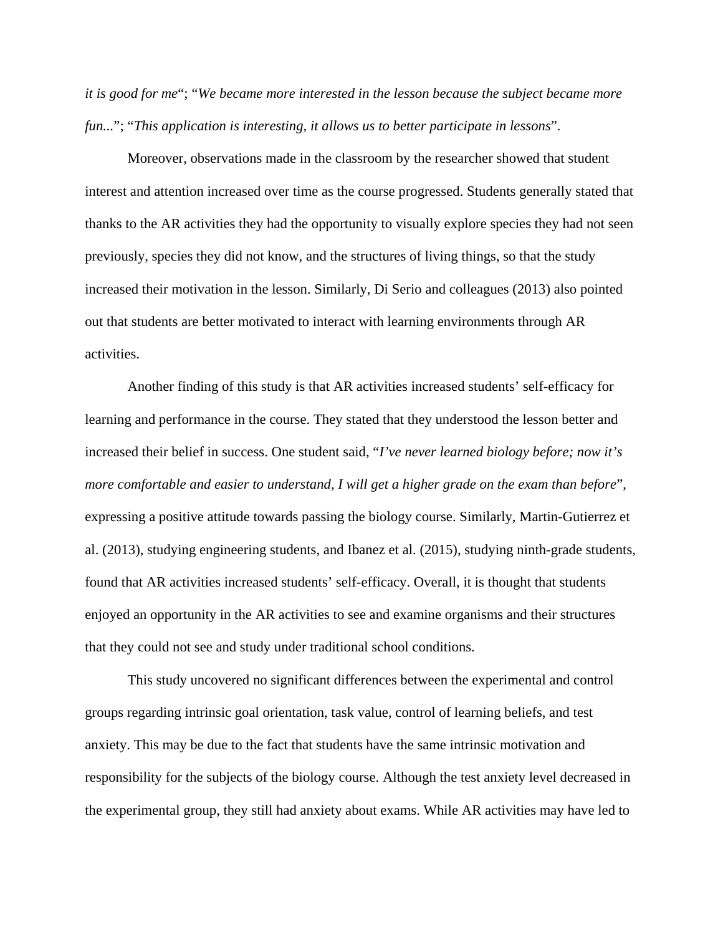*it is good for me*"; "*We became more interested in the lesson because the subject became more fun...*"; "*This application is interesting, it allows us to better participate in lessons*".

Moreover, observations made in the classroom by the researcher showed that student interest and attention increased over time as the course progressed. Students generally stated that thanks to the AR activities they had the opportunity to visually explore species they had not seen previously, species they did not know, and the structures of living things, so that the study increased their motivation in the lesson. Similarly, Di Serio and colleagues (2013) also pointed out that students are better motivated to interact with learning environments through AR activities.

Another finding of this study is that AR activities increased students' self-efficacy for learning and performance in the course. They stated that they understood the lesson better and increased their belief in success. One student said, "*I've never learned biology before; now it's more comfortable and easier to understand, I will get a higher grade on the exam than before*", expressing a positive attitude towards passing the biology course. Similarly, Martin-Gutierrez et al. (2013), studying engineering students, and Ibanez et al. (2015), studying ninth-grade students, found that AR activities increased students' self-efficacy. Overall, it is thought that students enjoyed an opportunity in the AR activities to see and examine organisms and their structures that they could not see and study under traditional school conditions.

This study uncovered no significant differences between the experimental and control groups regarding intrinsic goal orientation, task value, control of learning beliefs, and test anxiety. This may be due to the fact that students have the same intrinsic motivation and responsibility for the subjects of the biology course. Although the test anxiety level decreased in the experimental group, they still had anxiety about exams. While AR activities may have led to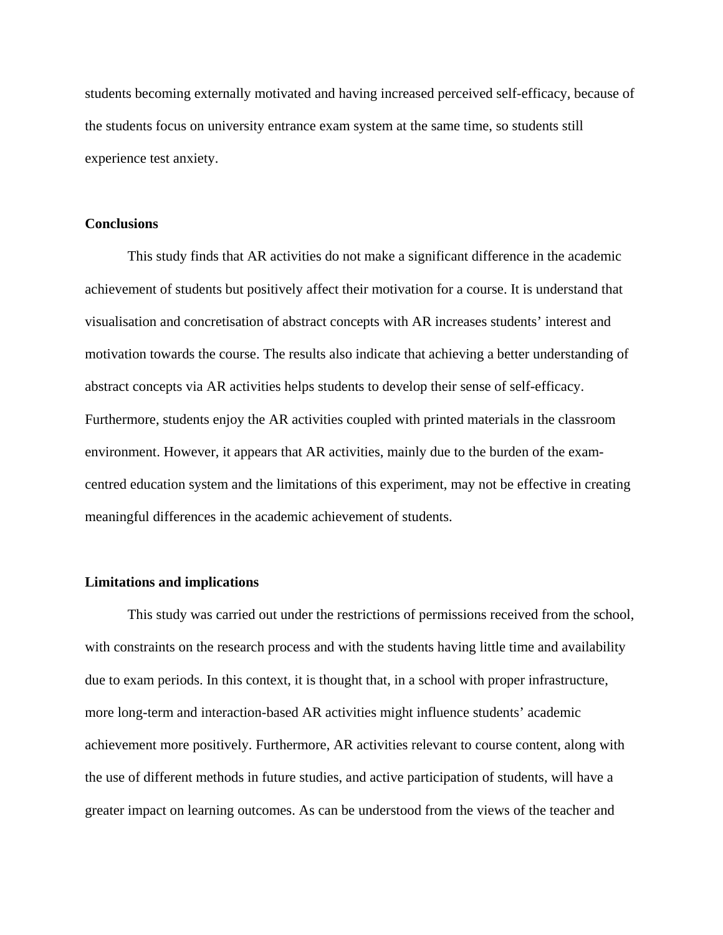students becoming externally motivated and having increased perceived self-efficacy, because of the students focus on university entrance exam system at the same time, so students still experience test anxiety.

## **Conclusions**

This study finds that AR activities do not make a significant difference in the academic achievement of students but positively affect their motivation for a course. It is understand that visualisation and concretisation of abstract concepts with AR increases students' interest and motivation towards the course. The results also indicate that achieving a better understanding of abstract concepts via AR activities helps students to develop their sense of self-efficacy. Furthermore, students enjoy the AR activities coupled with printed materials in the classroom environment. However, it appears that AR activities, mainly due to the burden of the examcentred education system and the limitations of this experiment, may not be effective in creating meaningful differences in the academic achievement of students.

## **Limitations and implications**

This study was carried out under the restrictions of permissions received from the school, with constraints on the research process and with the students having little time and availability due to exam periods. In this context, it is thought that, in a school with proper infrastructure, more long-term and interaction-based AR activities might influence students' academic achievement more positively. Furthermore, AR activities relevant to course content, along with the use of different methods in future studies, and active participation of students, will have a greater impact on learning outcomes. As can be understood from the views of the teacher and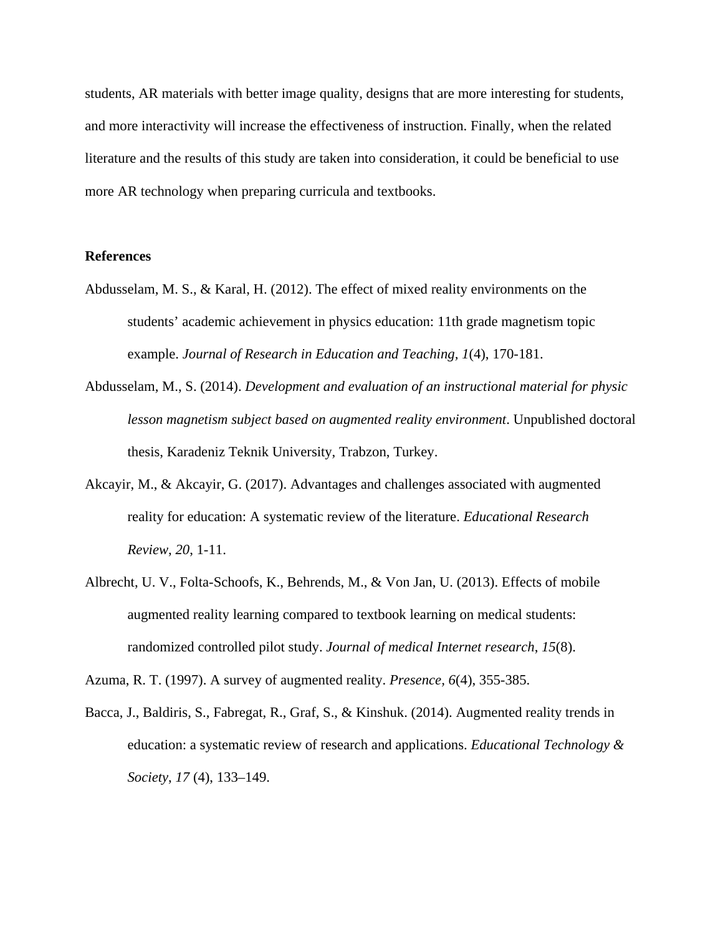students, AR materials with better image quality, designs that are more interesting for students, and more interactivity will increase the effectiveness of instruction. Finally, when the related literature and the results of this study are taken into consideration, it could be beneficial to use more AR technology when preparing curricula and textbooks.

## **References**

- Abdusselam, M. S., & Karal, H. (2012). The effect of mixed reality environments on the students' academic achievement in physics education: 11th grade magnetism topic example. *Journal of Research in Education and Teaching, 1*(4), 170-181.
- Abdusselam, M., S. (2014). *Development and evaluation of an instructional material for physic lesson magnetism subject based on augmented reality environment*. Unpublished doctoral thesis, Karadeniz Teknik University, Trabzon, Turkey.
- Akcayir, M., & Akcayir, G. (2017). Advantages and challenges associated with augmented reality for education: A systematic review of the literature. *Educational Research Review*, *20*, 1-11.
- Albrecht, U. V., Folta-Schoofs, K., Behrends, M., & Von Jan, U. (2013). Effects of mobile augmented reality learning compared to textbook learning on medical students: randomized controlled pilot study. *Journal of medical Internet research*, *15*(8).

Azuma, R. T. (1997). A survey of augmented reality. *Presence, 6*(4), 355-385.

Bacca, J., Baldiris, S., Fabregat, R., Graf, S., & Kinshuk. (2014). Augmented reality trends in education: a systematic review of research and applications. *Educational Technology & Society*, *17* (4), 133–149.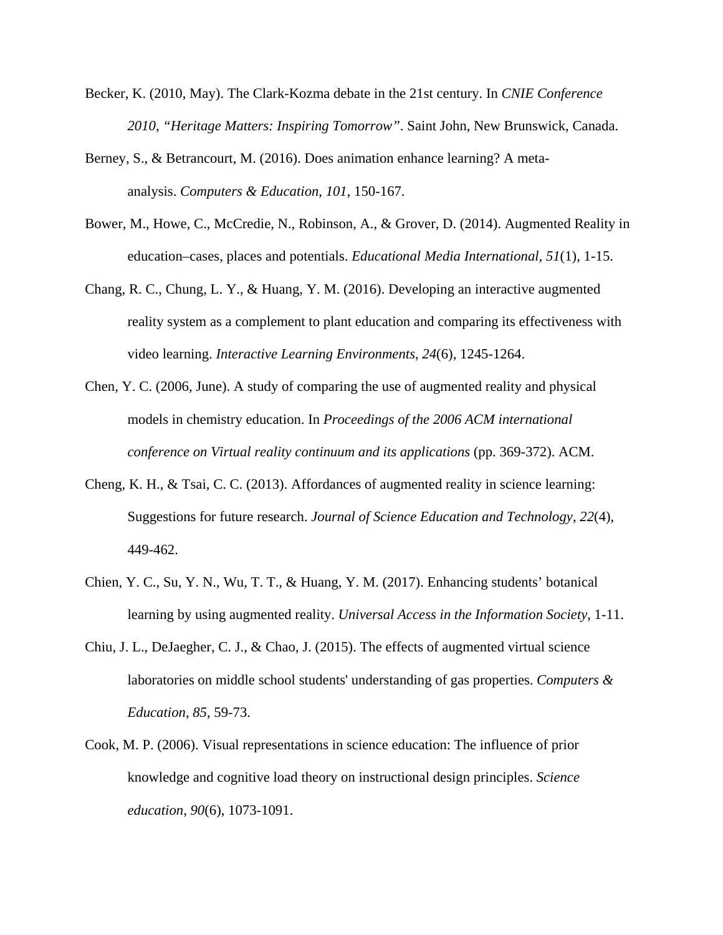- Becker, K. (2010, May). The Clark-Kozma debate in the 21st century. In *CNIE Conference 2010, "Heritage Matters: Inspiring Tomorrow"*. Saint John, New Brunswick, Canada.
- Berney, S., & Betrancourt, M. (2016). Does animation enhance learning? A metaanalysis. *Computers & Education*, *101*, 150-167.
- Bower, M., Howe, C., McCredie, N., Robinson, A., & Grover, D. (2014). Augmented Reality in education–cases, places and potentials. *Educational Media International, 51*(1), 1-15.
- Chang, R. C., Chung, L. Y., & Huang, Y. M. (2016). Developing an interactive augmented reality system as a complement to plant education and comparing its effectiveness with video learning. *Interactive Learning Environments*, *24*(6), 1245-1264.
- Chen, Y. C. (2006, June). A study of comparing the use of augmented reality and physical models in chemistry education. In *Proceedings of the 2006 ACM international conference on Virtual reality continuum and its applications* (pp. 369-372). ACM.
- Cheng, K. H., & Tsai, C. C. (2013). Affordances of augmented reality in science learning: Suggestions for future research. *Journal of Science Education and Technology*, *22*(4), 449-462.
- Chien, Y. C., Su, Y. N., Wu, T. T., & Huang, Y. M. (2017). Enhancing students' botanical learning by using augmented reality. *Universal Access in the Information Society*, 1-11.
- Chiu, J. L., DeJaegher, C. J., & Chao, J. (2015). The effects of augmented virtual science laboratories on middle school students' understanding of gas properties. *Computers & Education*, *85*, 59-73.
- Cook, M. P. (2006). Visual representations in science education: The influence of prior knowledge and cognitive load theory on instructional design principles. *Science education*, *90*(6), 1073-1091.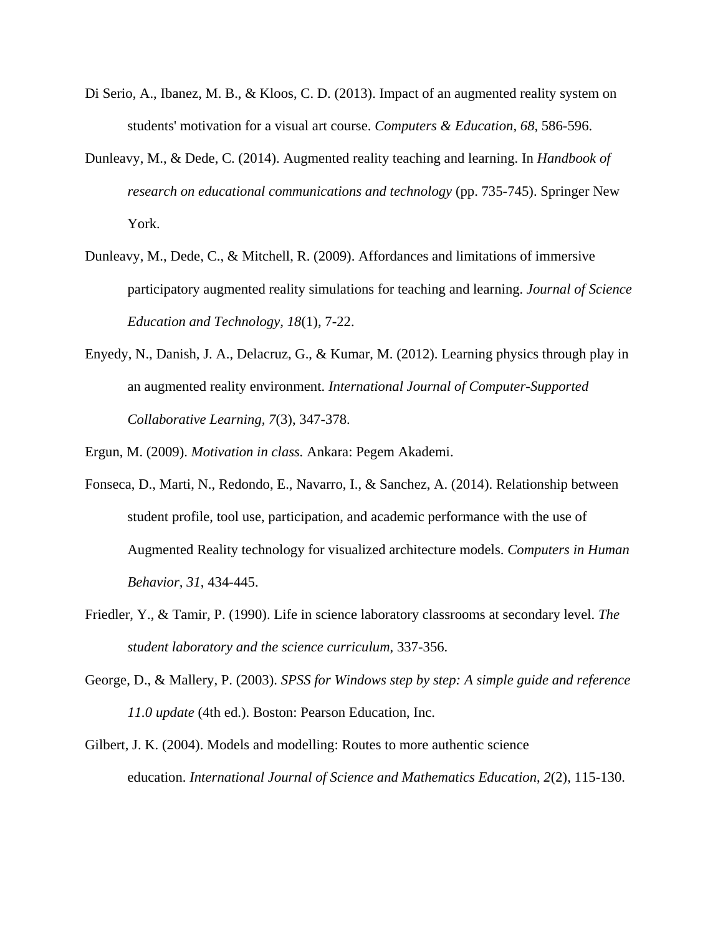- Di Serio, A., Ibanez, M. B., & Kloos, C. D. (2013). Impact of an augmented reality system on students' motivation for a visual art course. *Computers & Education, 68*, 586-596.
- Dunleavy, M., & Dede, C. (2014). Augmented reality teaching and learning. In *Handbook of research on educational communications and technology* (pp. 735-745). Springer New York.
- Dunleavy, M., Dede, C., & Mitchell, R. (2009). Affordances and limitations of immersive participatory augmented reality simulations for teaching and learning. *Journal of Science Education and Technology, 18*(1), 7-22.
- Enyedy, N., Danish, J. A., Delacruz, G., & Kumar, M. (2012). Learning physics through play in an augmented reality environment. *International Journal of Computer-Supported Collaborative Learning, 7*(3), 347-378.

Ergun, M. (2009). *Motivation in class.* Ankara: Pegem Akademi.

- Fonseca, D., Marti, N., Redondo, E., Navarro, I., & Sanchez, A. (2014). Relationship between student profile, tool use, participation, and academic performance with the use of Augmented Reality technology for visualized architecture models. *Computers in Human Behavior, 31*, 434-445.
- Friedler, Y., & Tamir, P. (1990). Life in science laboratory classrooms at secondary level. *The student laboratory and the science curriculum*, 337-356.
- George, D., & Mallery, P. (2003). *SPSS for Windows step by step: A simple guide and reference 11.0 update* (4th ed.). Boston: Pearson Education, Inc.
- Gilbert, J. K. (2004). Models and modelling: Routes to more authentic science education. *International Journal of Science and Mathematics Education*, *2*(2), 115-130.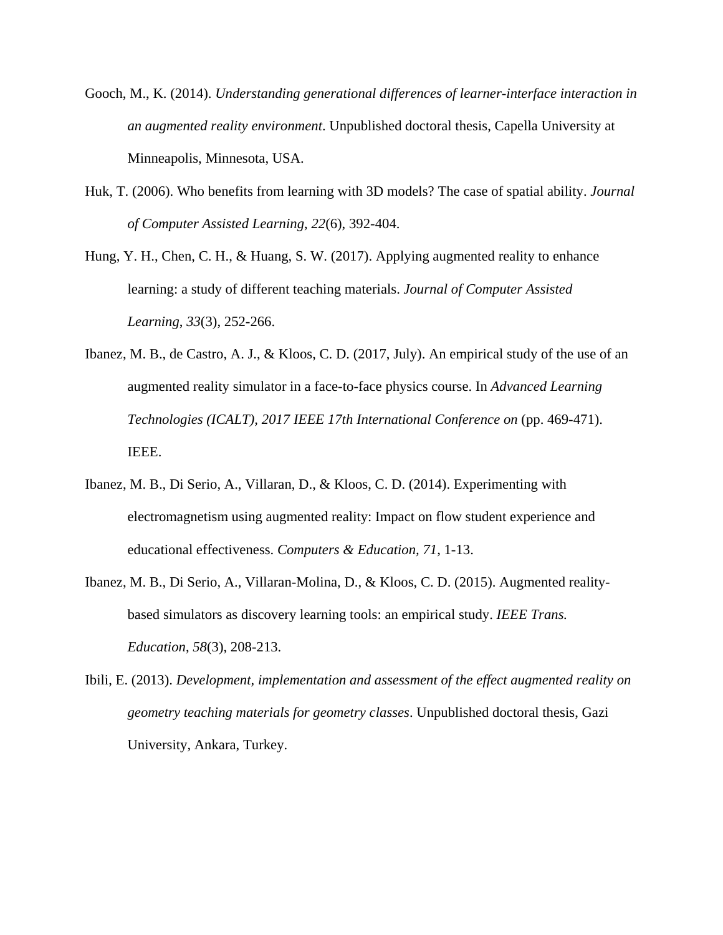- Gooch, M., K. (2014). *Understanding generational differences of learner-interface interaction in an augmented reality environment*. Unpublished doctoral thesis, Capella University at Minneapolis, Minnesota, USA.
- Huk, T. (2006). Who benefits from learning with 3D models? The case of spatial ability. *Journal of Computer Assisted Learning*, *22*(6), 392-404.
- Hung, Y. H., Chen, C. H., & Huang, S. W. (2017). Applying augmented reality to enhance learning: a study of different teaching materials. *Journal of Computer Assisted Learning*, *33*(3), 252-266.
- Ibanez, M. B., de Castro, A. J., & Kloos, C. D. (2017, July). An empirical study of the use of an augmented reality simulator in a face-to-face physics course. In *Advanced Learning Technologies (ICALT), 2017 IEEE 17th International Conference on* (pp. 469-471). IEEE.
- Ibanez, M. B., Di Serio, A., Villaran, D., & Kloos, C. D. (2014). Experimenting with electromagnetism using augmented reality: Impact on flow student experience and educational effectiveness. *Computers & Education, 71*, 1-13.
- Ibanez, M. B., Di Serio, A., Villaran-Molina, D., & Kloos, C. D. (2015). Augmented realitybased simulators as discovery learning tools: an empirical study. *IEEE Trans. Education*, *58*(3), 208-213.
- Ibili, E. (2013). *Development, implementation and assessment of the effect augmented reality on geometry teaching materials for geometry classes*. Unpublished doctoral thesis, Gazi University, Ankara, Turkey.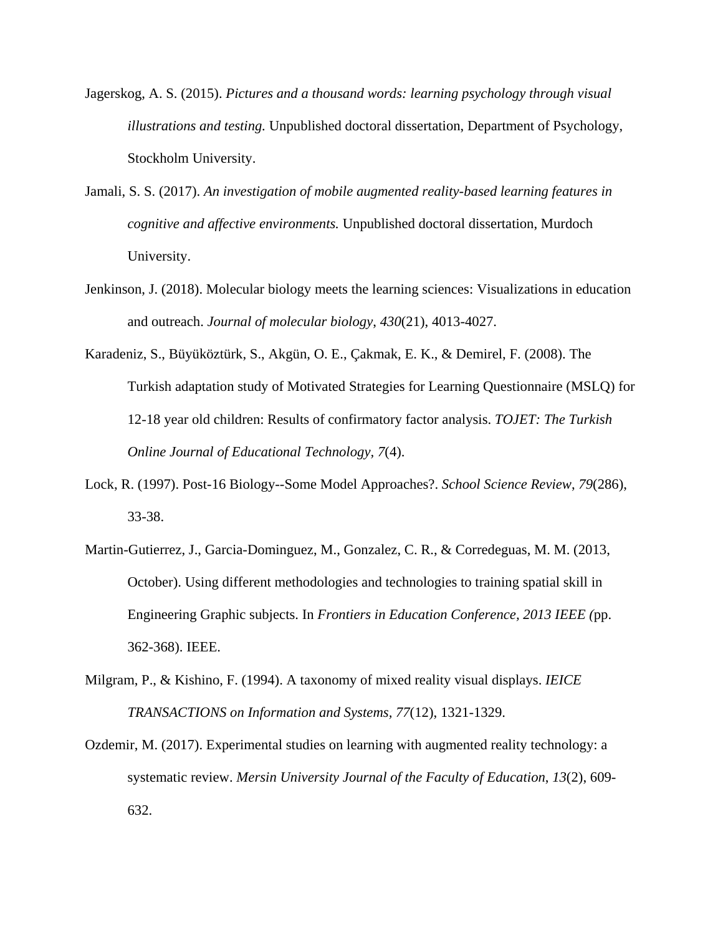- Jagerskog, A. S. (2015). *Pictures and a thousand words: learning psychology through visual illustrations and testing.* Unpublished doctoral dissertation, Department of Psychology, Stockholm University.
- Jamali, S. S. (2017). *An investigation of mobile augmented reality-based learning features in cognitive and affective environments.* Unpublished doctoral dissertation, Murdoch University.
- Jenkinson, J. (2018). Molecular biology meets the learning sciences: Visualizations in education and outreach. *Journal of molecular biology*, *430*(21), 4013-4027.
- Karadeniz, S., Büyüköztürk, S., Akgün, O. E., Çakmak, E. K., & Demirel, F. (2008). The Turkish adaptation study of Motivated Strategies for Learning Questionnaire (MSLQ) for 12-18 year old children: Results of confirmatory factor analysis. *TOJET: The Turkish Online Journal of Educational Technology, 7*(4).
- Lock, R. (1997). Post-16 Biology--Some Model Approaches?. *School Science Review*, *79*(286), 33-38.
- Martin-Gutierrez, J., Garcia-Dominguez, M., Gonzalez, C. R., & Corredeguas, M. M. (2013, October). Using different methodologies and technologies to training spatial skill in Engineering Graphic subjects. In *Frontiers in Education Conference, 2013 IEEE (*pp. 362-368). IEEE.
- Milgram, P., & Kishino, F. (1994). A taxonomy of mixed reality visual displays. *IEICE TRANSACTIONS on Information and Systems, 77*(12), 1321-1329.
- Ozdemir, M. (2017). Experimental studies on learning with augmented reality technology: a systematic review. *Mersin University Journal of the Faculty of Education*, *13*(2), 609- 632.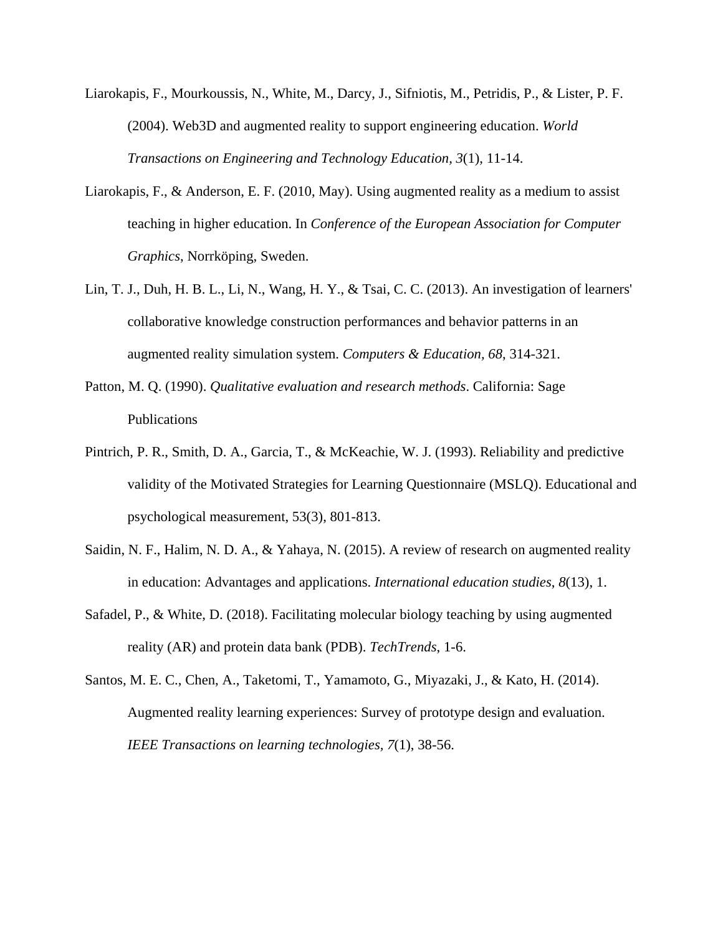- Liarokapis, F., Mourkoussis, N., White, M., Darcy, J., Sifniotis, M., Petridis, P., & Lister, P. F. (2004). Web3D and augmented reality to support engineering education. *World Transactions on Engineering and Technology Education, 3*(1), 11-14.
- Liarokapis, F., & Anderson, E. F. (2010, May). Using augmented reality as a medium to assist teaching in higher education. In *Conference of the European Association for Computer Graphics*, Norrköping, Sweden.
- Lin, T. J., Duh, H. B. L., Li, N., Wang, H. Y., & Tsai, C. C. (2013). An investigation of learners' collaborative knowledge construction performances and behavior patterns in an augmented reality simulation system. *Computers & Education, 68*, 314-321.
- Patton, M. Q. (1990). *Qualitative evaluation and research methods*. California: Sage Publications
- Pintrich, P. R., Smith, D. A., Garcia, T., & McKeachie, W. J. (1993). Reliability and predictive validity of the Motivated Strategies for Learning Questionnaire (MSLQ). Educational and psychological measurement, 53(3), 801-813.
- Saidin, N. F., Halim, N. D. A., & Yahaya, N. (2015). A review of research on augmented reality in education: Advantages and applications. *International education studies*, *8*(13), 1.
- Safadel, P., & White, D. (2018). Facilitating molecular biology teaching by using augmented reality (AR) and protein data bank (PDB). *TechTrends*, 1-6.
- Santos, M. E. C., Chen, A., Taketomi, T., Yamamoto, G., Miyazaki, J., & Kato, H. (2014). Augmented reality learning experiences: Survey of prototype design and evaluation. *IEEE Transactions on learning technologies, 7*(1), 38-56.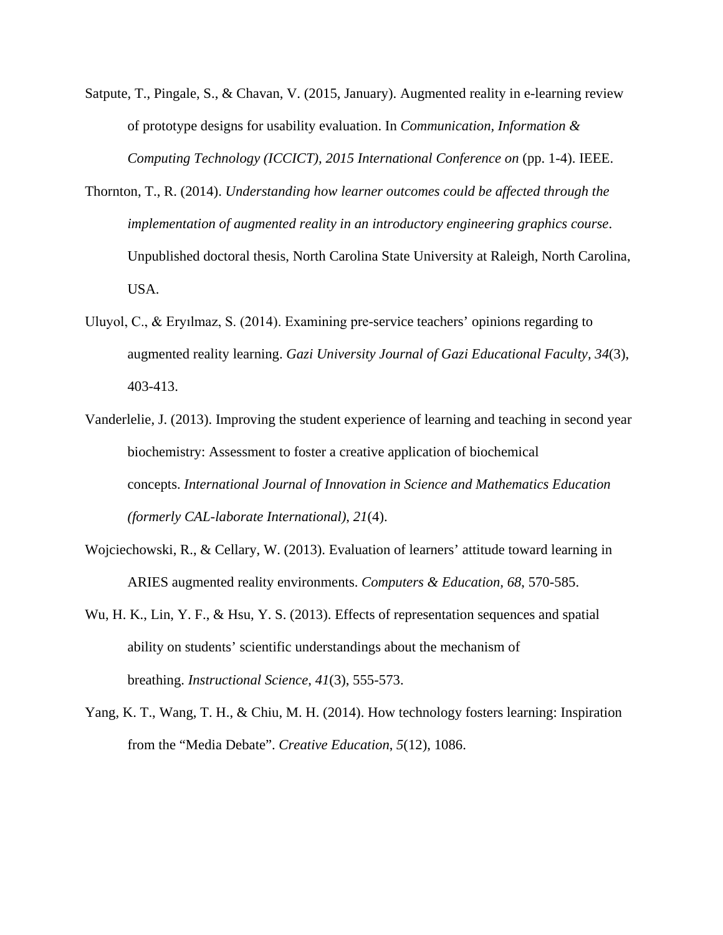- Satpute, T., Pingale, S., & Chavan, V. (2015, January). Augmented reality in e-learning review of prototype designs for usability evaluation. In *Communication, Information & Computing Technology (ICCICT), 2015 International Conference on* (pp. 1-4). IEEE.
- Thornton, T., R. (2014). *Understanding how learner outcomes could be affected through the implementation of augmented reality in an introductory engineering graphics course*. Unpublished doctoral thesis, North Carolina State University at Raleigh, North Carolina, USA.
- Uluyol, C., & Eryılmaz, S. (2014). Examining pre-service teachers' opinions regarding to augmented reality learning. *Gazi University Journal of Gazi Educational Faculty, 34*(3), 403-413.
- Vanderlelie, J. (2013). Improving the student experience of learning and teaching in second year biochemistry: Assessment to foster a creative application of biochemical concepts. *International Journal of Innovation in Science and Mathematics Education (formerly CAL-laborate International)*, *21*(4).
- Wojciechowski, R., & Cellary, W. (2013). Evaluation of learners' attitude toward learning in ARIES augmented reality environments. *Computers & Education, 68*, 570-585.
- Wu, H. K., Lin, Y. F., & Hsu, Y. S. (2013). Effects of representation sequences and spatial ability on students' scientific understandings about the mechanism of breathing. *Instructional Science*, *41*(3), 555-573.
- Yang, K. T., Wang, T. H., & Chiu, M. H. (2014). How technology fosters learning: Inspiration from the "Media Debate". *Creative Education*, *5*(12), 1086.